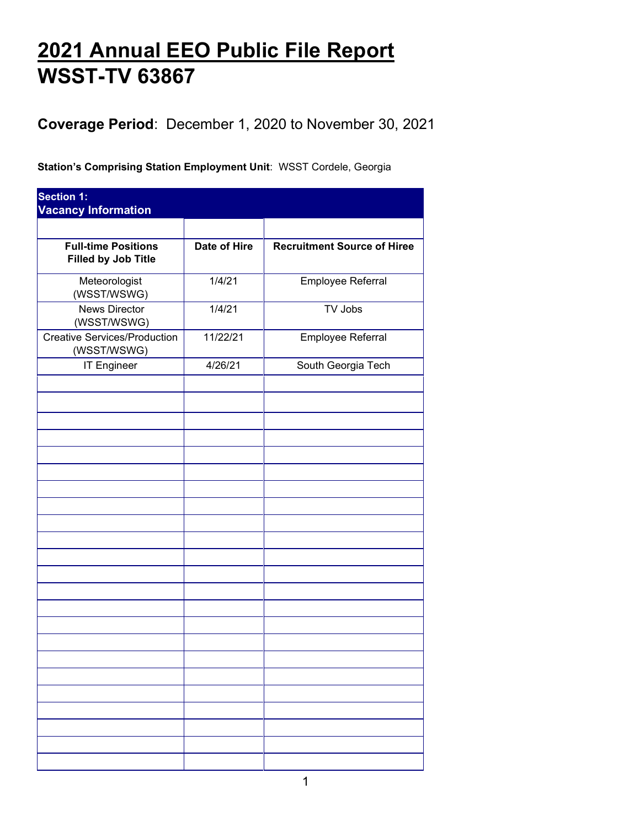## **2021 Annual EEO Public File Report WSST-TV 63867**

**Coverage Period**: December 1, 2020 to November 30, 2021

**Station's Comprising Station Employment Unit**: WSST Cordele, Georgia

| <b>Date of Hire</b> | <b>Recruitment Source of Hiree</b> |
|---------------------|------------------------------------|
| 1/4/21              | Employee Referral                  |
| 1/4/21              | TV Jobs                            |
| 11/22/21            | Employee Referral                  |
| 4/26/21             | South Georgia Tech                 |
|                     |                                    |
|                     |                                    |
|                     |                                    |
|                     |                                    |
|                     |                                    |
|                     |                                    |
|                     |                                    |
|                     |                                    |
|                     |                                    |
|                     |                                    |
|                     |                                    |
|                     |                                    |
|                     |                                    |
|                     |                                    |
|                     |                                    |
|                     |                                    |
|                     |                                    |
|                     |                                    |
|                     |                                    |
|                     |                                    |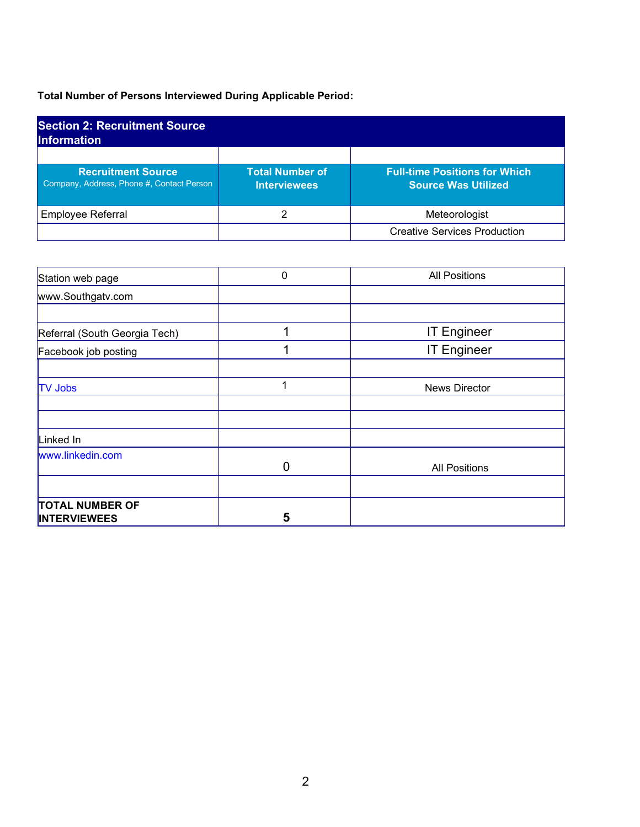## **Total Number of Persons Interviewed During Applicable Period:**

| <b>Section 2: Recruitment Source</b><br><b>Information</b>             |                                               |                                                                    |  |
|------------------------------------------------------------------------|-----------------------------------------------|--------------------------------------------------------------------|--|
| <b>Recruitment Source</b><br>Company, Address, Phone #, Contact Person | <b>Total Number of</b><br><b>Interviewees</b> | <b>Full-time Positions for Which</b><br><b>Source Was Utilized</b> |  |
| <b>Employee Referral</b>                                               |                                               | Meteorologist                                                      |  |
|                                                                        |                                               | <b>Creative Services Production</b>                                |  |

| Station web page                              | 0 | <b>All Positions</b> |
|-----------------------------------------------|---|----------------------|
| www.Southgatv.com                             |   |                      |
|                                               |   |                      |
| Referral (South Georgia Tech)                 |   | <b>IT Engineer</b>   |
| Facebook job posting                          |   | <b>IT Engineer</b>   |
|                                               |   |                      |
| <b>TV Jobs</b>                                | 1 | <b>News Director</b> |
|                                               |   |                      |
|                                               |   |                      |
| Linked In                                     |   |                      |
| www.linkedin.com                              | U | <b>All Positions</b> |
|                                               |   |                      |
| <b>TOTAL NUMBER OF</b><br><b>INTERVIEWEES</b> | 5 |                      |